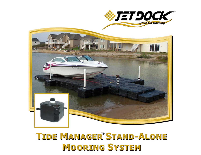

## TIDE MANAGER<sup>M</sup>STAND-ALONE **MOORING SYSTEM**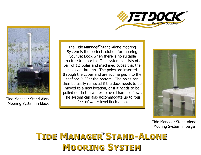



Mooring System in black

The Tide Manager<sup>™</sup>Stand-Alone Mooring System is the perfect solution for mooring your Jet Dock when there is no suitable structure to moor to. The system consists of a pair of 12' poles and machined cubes that the poles go through. The poles are inserted through the cubes and are submerged into the seafloor 2'-3' at the bottom. The poles can then be easily removed if the dock needs to be moved to a new location, or if it needs to be pulled out in the winter to avoid hard ice flows. The system can also accommodate up to four Tide Manager Stand-Alone Tide Manager Stand-Alone



Tide Manager Stand-Alone Mooring System in beige

## TIDE MANAGER"STAND-ALONE **MOORING SYSTEM**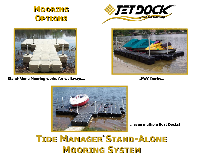





**Stand-Alone Mooring works for walkways...** 



... PWC Docks...



... even multiple Boat Docks!

## TIDE MANAGER<sup>"</sup>STAND-ALONE **MOORING SYSTEM**